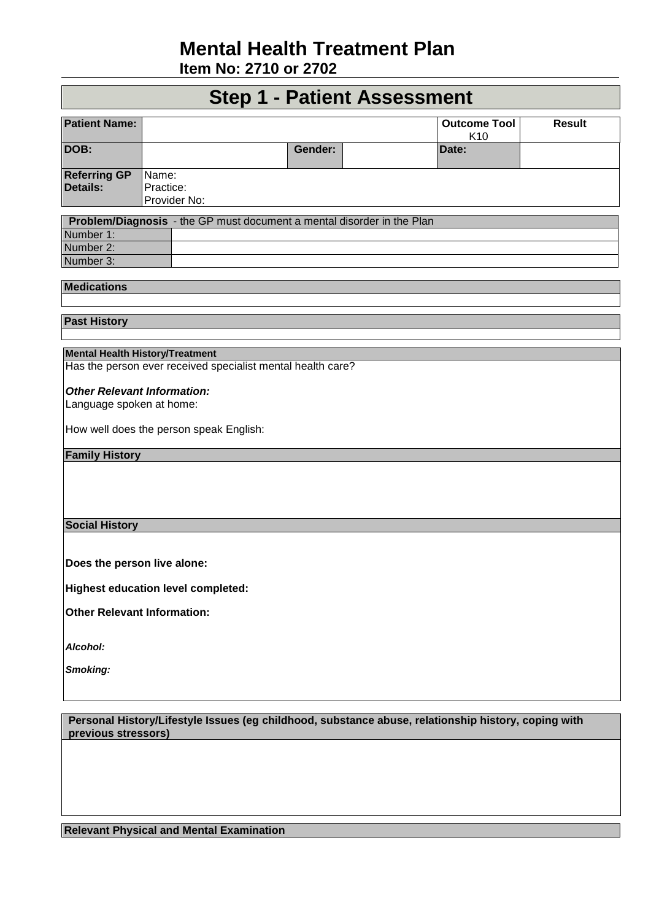## **Mental Health Treatment Plan**

**Item No: 2710 or 2702** 

### **Step 1 - Patient Assessment**

| <b>Patient Name:</b>                      |                                                                                                     |         |  | <b>Outcome Tool</b><br>K10 | <b>Result</b> |
|-------------------------------------------|-----------------------------------------------------------------------------------------------------|---------|--|----------------------------|---------------|
| DOB:                                      |                                                                                                     | Gender: |  | Date:                      |               |
| <b>Referring GP</b><br>Details:           | Name:<br>Practice:<br>Provider No:                                                                  |         |  |                            |               |
|                                           |                                                                                                     |         |  |                            |               |
|                                           | Problem/Diagnosis - the GP must document a mental disorder in the Plan                              |         |  |                            |               |
| Number 1:                                 |                                                                                                     |         |  |                            |               |
| Number 2:                                 |                                                                                                     |         |  |                            |               |
| Number 3:                                 |                                                                                                     |         |  |                            |               |
|                                           |                                                                                                     |         |  |                            |               |
| <b>Medications</b>                        |                                                                                                     |         |  |                            |               |
|                                           |                                                                                                     |         |  |                            |               |
|                                           |                                                                                                     |         |  |                            |               |
| <b>Past History</b>                       |                                                                                                     |         |  |                            |               |
|                                           |                                                                                                     |         |  |                            |               |
|                                           |                                                                                                     |         |  |                            |               |
| <b>Mental Health History/Treatment</b>    | Has the person ever received specialist mental health care?                                         |         |  |                            |               |
|                                           |                                                                                                     |         |  |                            |               |
|                                           |                                                                                                     |         |  |                            |               |
| <b>Other Relevant Information:</b>        |                                                                                                     |         |  |                            |               |
| Language spoken at home:                  |                                                                                                     |         |  |                            |               |
|                                           |                                                                                                     |         |  |                            |               |
|                                           | How well does the person speak English:                                                             |         |  |                            |               |
|                                           |                                                                                                     |         |  |                            |               |
| <b>Family History</b>                     |                                                                                                     |         |  |                            |               |
|                                           |                                                                                                     |         |  |                            |               |
|                                           |                                                                                                     |         |  |                            |               |
|                                           |                                                                                                     |         |  |                            |               |
|                                           |                                                                                                     |         |  |                            |               |
|                                           |                                                                                                     |         |  |                            |               |
| <b>Social History</b>                     |                                                                                                     |         |  |                            |               |
|                                           |                                                                                                     |         |  |                            |               |
|                                           |                                                                                                     |         |  |                            |               |
| Does the person live alone:               |                                                                                                     |         |  |                            |               |
|                                           |                                                                                                     |         |  |                            |               |
| <b>Highest education level completed:</b> |                                                                                                     |         |  |                            |               |
|                                           |                                                                                                     |         |  |                            |               |
| <b>Other Relevant Information:</b>        |                                                                                                     |         |  |                            |               |
|                                           |                                                                                                     |         |  |                            |               |
|                                           |                                                                                                     |         |  |                            |               |
| Alcohol:                                  |                                                                                                     |         |  |                            |               |
| Smoking:                                  |                                                                                                     |         |  |                            |               |
|                                           |                                                                                                     |         |  |                            |               |
|                                           |                                                                                                     |         |  |                            |               |
|                                           |                                                                                                     |         |  |                            |               |
|                                           |                                                                                                     |         |  |                            |               |
|                                           | Personal History/Lifestyle Issues (eg childhood, substance abuse, relationship history, coping with |         |  |                            |               |
| previous stressors)                       |                                                                                                     |         |  |                            |               |

**Relevant Physical and Mental Examination**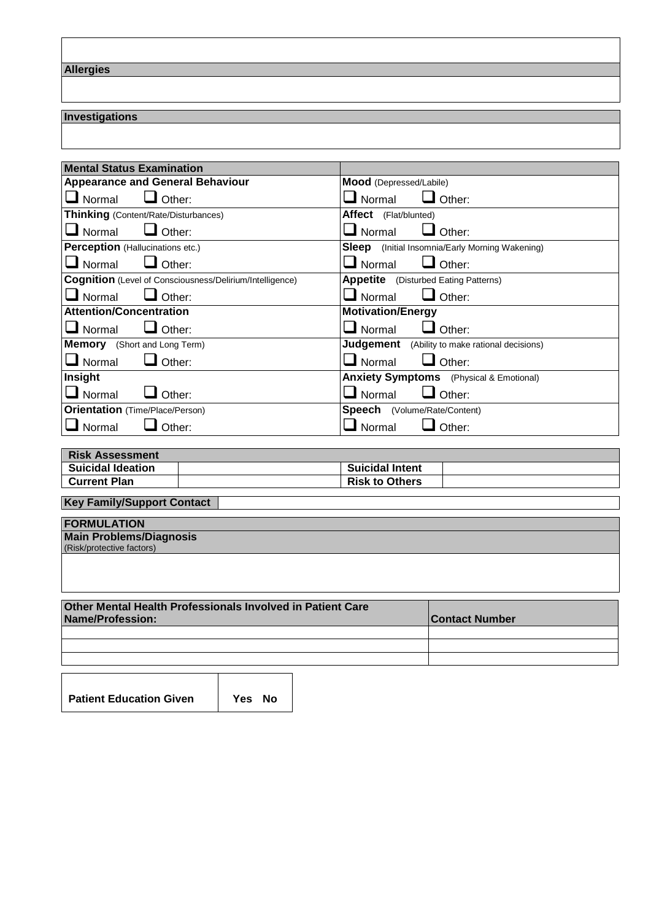**Allergies**

#### **Investigations**

| <b>Mental Status Examination</b>                         |                                                        |  |
|----------------------------------------------------------|--------------------------------------------------------|--|
| <b>Appearance and General Behaviour</b>                  | Mood (Depressed/Labile)                                |  |
| Other:<br>Normal                                         | Other:<br>Normal                                       |  |
| <b>Thinking</b> (Content/Rate/Disturbances)              | Affect (Flat/blunted)                                  |  |
| Normal<br>Other:                                         | Normal<br>Other:                                       |  |
| Perception (Hallucinations etc.)                         | <b>Sleep</b> (Initial Insomnia/Early Morning Wakening) |  |
| Normal<br>Other:                                         | Other:<br>Normal                                       |  |
| Cognition (Level of Consciousness/Delirium/Intelligence) | <b>Appetite</b> (Disturbed Eating Patterns)            |  |
| Other:<br>Normal                                         | $\Box$ Other:<br>Normal                                |  |
| <b>Attention/Concentration</b>                           | <b>Motivation/Energy</b>                               |  |
| Normal<br>Other:                                         | $\blacksquare$ Normal<br>Other:                        |  |
| <b>Memory</b> (Short and Long Term)                      | <b>Judgement</b> (Ability to make rational decisions)  |  |
| Normal<br>Other:                                         | $\blacksquare$ Normal<br>Other:                        |  |
| Insight                                                  | <b>Anxiety Symptoms</b> (Physical & Emotional)         |  |
| Normal<br>Other:                                         | Other:<br>Normal                                       |  |
| <b>Orientation</b> (Time/Place/Person)                   | <b>Speech</b> (Volume/Rate/Content)                    |  |
| Normal<br>Other:                                         | Other:<br>Normal                                       |  |

| <b>Risk Assessment</b>   |                        |  |
|--------------------------|------------------------|--|
| <b>Suicidal Ideation</b> | <b>Suicidal Intent</b> |  |
| <b>Current Plan</b>      | <b>Risk to Others</b>  |  |

| <b>Key Family/Support Contact</b> |  |
|-----------------------------------|--|
|                                   |  |
| <b>FORMULATION</b>                |  |
| Main Problems/Diagnosis           |  |
| (Risk/protective factors)         |  |
|                                   |  |
|                                   |  |
|                                   |  |
|                                   |  |

| <b>Other Mental Health Professionals Involved in Patient Care</b><br>Name/Profession: | <b>Contact Number</b> |  |
|---------------------------------------------------------------------------------------|-----------------------|--|
|                                                                                       |                       |  |
|                                                                                       |                       |  |
|                                                                                       |                       |  |

**Patient Education Given Yes No**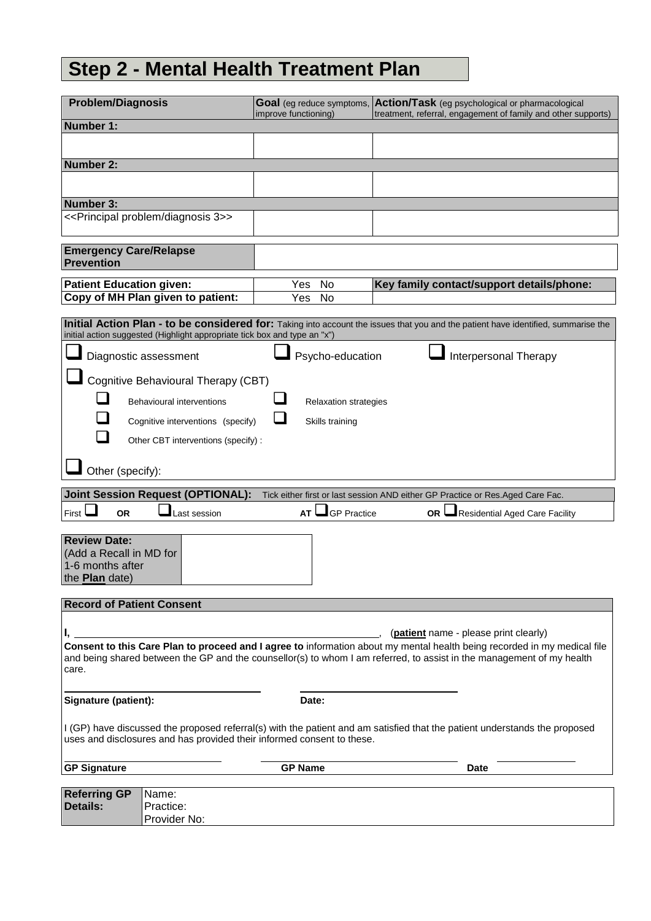# **Step 2 - Mental Health Treatment Plan**

| <b>Problem/Diagnosis</b>                                                                                                                                                                                                                          |                                                                           | improve functioning)         | Goal (eg reduce symptoms, Action/Task (eg psychological or pharmacological<br>treatment, referral, engagement of family and other supports) |  |  |
|---------------------------------------------------------------------------------------------------------------------------------------------------------------------------------------------------------------------------------------------------|---------------------------------------------------------------------------|------------------------------|---------------------------------------------------------------------------------------------------------------------------------------------|--|--|
| Number 1:                                                                                                                                                                                                                                         |                                                                           |                              |                                                                                                                                             |  |  |
|                                                                                                                                                                                                                                                   |                                                                           |                              |                                                                                                                                             |  |  |
| Number 2:                                                                                                                                                                                                                                         |                                                                           |                              |                                                                                                                                             |  |  |
|                                                                                                                                                                                                                                                   |                                                                           |                              |                                                                                                                                             |  |  |
| Number 3:                                                                                                                                                                                                                                         |                                                                           |                              |                                                                                                                                             |  |  |
|                                                                                                                                                                                                                                                   | < <principal 3="" diagnosis="" problem="">&gt;</principal>                |                              |                                                                                                                                             |  |  |
| <b>Emergency Care/Relapse</b><br><b>Prevention</b>                                                                                                                                                                                                |                                                                           |                              |                                                                                                                                             |  |  |
| <b>Patient Education given:</b>                                                                                                                                                                                                                   |                                                                           | Yes<br>No                    | Key family contact/support details/phone:                                                                                                   |  |  |
|                                                                                                                                                                                                                                                   | Copy of MH Plan given to patient:                                         | <b>No</b><br>Yes             |                                                                                                                                             |  |  |
|                                                                                                                                                                                                                                                   |                                                                           |                              |                                                                                                                                             |  |  |
|                                                                                                                                                                                                                                                   | initial action suggested (Highlight appropriate tick box and type an "x") |                              | Initial Action Plan - to be considered for: Taking into account the issues that you and the patient have identified, summarise the          |  |  |
|                                                                                                                                                                                                                                                   | Diagnostic assessment                                                     | Psycho-education             | Interpersonal Therapy                                                                                                                       |  |  |
|                                                                                                                                                                                                                                                   | Cognitive Behavioural Therapy (CBT)                                       |                              |                                                                                                                                             |  |  |
|                                                                                                                                                                                                                                                   |                                                                           |                              |                                                                                                                                             |  |  |
|                                                                                                                                                                                                                                                   | <b>Behavioural interventions</b>                                          | <b>Relaxation strategies</b> |                                                                                                                                             |  |  |
|                                                                                                                                                                                                                                                   | Cognitive interventions (specify)                                         | Skills training              |                                                                                                                                             |  |  |
|                                                                                                                                                                                                                                                   | Other CBT interventions (specify):                                        |                              |                                                                                                                                             |  |  |
| Other (specify):                                                                                                                                                                                                                                  |                                                                           |                              |                                                                                                                                             |  |  |
|                                                                                                                                                                                                                                                   | <b>Joint Session Request (OPTIONAL):</b>                                  |                              |                                                                                                                                             |  |  |
|                                                                                                                                                                                                                                                   |                                                                           |                              | Tick either first or last session AND either GP Practice or Res.Aged Care Fac.                                                              |  |  |
| First $\vdash$<br><b>OR</b>                                                                                                                                                                                                                       | Last session                                                              | $\Box$ GP Practice<br>AT     | Residential Aged Care Facility<br>OR I                                                                                                      |  |  |
| <b>Review Date:</b>                                                                                                                                                                                                                               |                                                                           |                              |                                                                                                                                             |  |  |
| (Add a Recall in MD for                                                                                                                                                                                                                           |                                                                           |                              |                                                                                                                                             |  |  |
| 1-6 months after                                                                                                                                                                                                                                  |                                                                           |                              |                                                                                                                                             |  |  |
| the <b>Plan</b> date)                                                                                                                                                                                                                             |                                                                           |                              |                                                                                                                                             |  |  |
| <b>Record of Patient Consent</b>                                                                                                                                                                                                                  |                                                                           |                              |                                                                                                                                             |  |  |
|                                                                                                                                                                                                                                                   |                                                                           |                              |                                                                                                                                             |  |  |
| ( <b>patient</b> name - please print clearly)                                                                                                                                                                                                     |                                                                           |                              |                                                                                                                                             |  |  |
| Consent to this Care Plan to proceed and I agree to information about my mental health being recorded in my medical file<br>and being shared between the GP and the counsellor(s) to whom I am referred, to assist in the management of my health |                                                                           |                              |                                                                                                                                             |  |  |
| care.                                                                                                                                                                                                                                             |                                                                           |                              |                                                                                                                                             |  |  |
|                                                                                                                                                                                                                                                   |                                                                           |                              |                                                                                                                                             |  |  |
| Signature (patient):<br>Date:                                                                                                                                                                                                                     |                                                                           |                              |                                                                                                                                             |  |  |
|                                                                                                                                                                                                                                                   |                                                                           |                              |                                                                                                                                             |  |  |
| I (GP) have discussed the proposed referral(s) with the patient and am satisfied that the patient understands the proposed<br>uses and disclosures and has provided their informed consent to these.                                              |                                                                           |                              |                                                                                                                                             |  |  |
| <b>GP Signature</b>                                                                                                                                                                                                                               |                                                                           | <b>GP Name</b>               | <b>Date</b>                                                                                                                                 |  |  |
|                                                                                                                                                                                                                                                   |                                                                           |                              |                                                                                                                                             |  |  |
| <b>Referring GP</b><br><b>Details:</b>                                                                                                                                                                                                            | Name:<br>Practice:                                                        |                              |                                                                                                                                             |  |  |
|                                                                                                                                                                                                                                                   | Provider No:                                                              |                              |                                                                                                                                             |  |  |